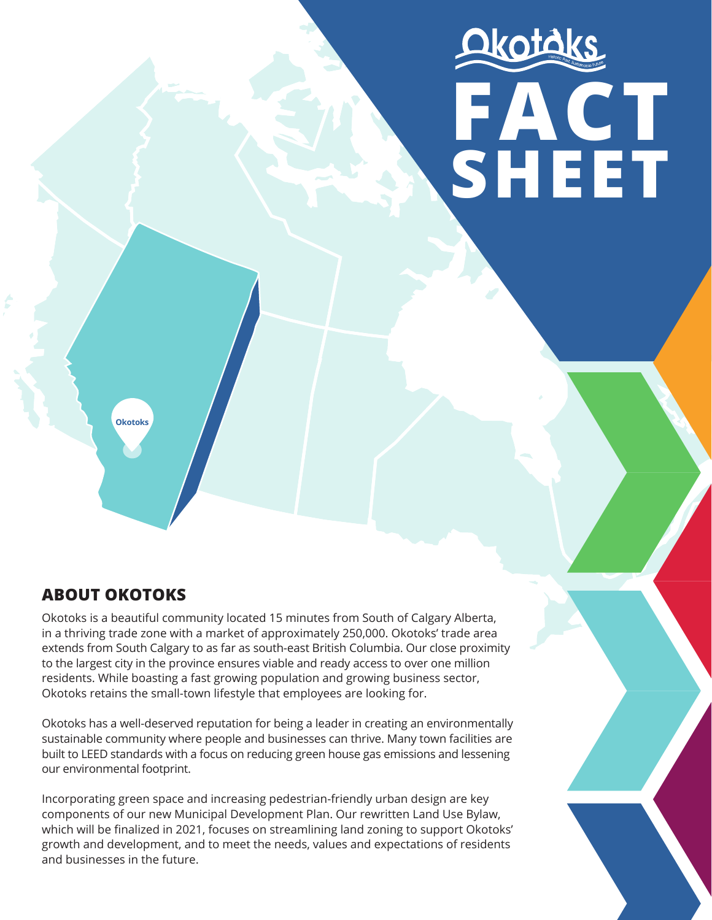# Okotáks **FACT SHEET**

**Okotoks**

# **ABOUT OKOTOKS**

Okotoks is a beautiful community located 15 minutes from South of Calgary Alberta, in a thriving trade zone with a market of approximately 250,000. Okotoks' trade area extends from South Calgary to as far as south-east British Columbia. Our close proximity to the largest city in the province ensures viable and ready access to over one million residents. While boasting a fast growing population and growing business sector, Okotoks retains the small-town lifestyle that employees are looking for.

Okotoks has a well-deserved reputation for being a leader in creating an environmentally sustainable community where people and businesses can thrive. Many town facilities are built to LEED standards with a focus on reducing green house gas emissions and lessening our environmental footprint.

Incorporating green space and increasing pedestrian-friendly urban design are key components of our new Municipal Development Plan. Our rewritten Land Use Bylaw, which will be finalized in 2021, focuses on streamlining land zoning to support Okotoks' growth and development, and to meet the needs, values and expectations of residents and businesses in the future.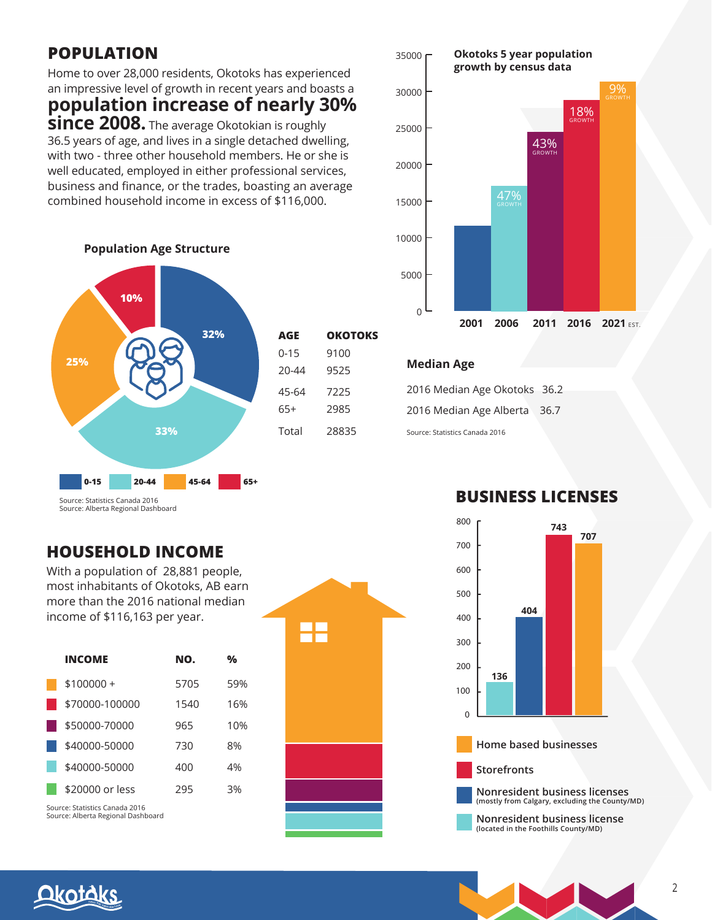## **POPULATION**

Home to over 28,000 residents, Okotoks has experienced an impressive level of growth in recent years and boasts a

**population increase of nearly 30% since 2008.** The average Okotokian is roughly 36.5 years of age, and lives in a single detached dwelling, with two - three other household members. He or she is well educated, employed in either professional services, business and finance, or the trades, boasting an average combined household income in excess of \$116,000.



### **Population Age Structure**

| AGE      | <b>OKOTOKS</b> |
|----------|----------------|
| $0 - 15$ | 9100           |
| 20-44    | 9525           |
| 45-64    | 7225           |
| 65+      | 2985           |
| Total    | 28835          |

### 35000 r **Okotoks 5 year population growth by census data** 18% 9%



### **Median Age**

2016 Median Age Okotoks 36.2 2016 Median Age Alberta 36.7 Source: Statistics Canada 2016

# **BUSINESS LICENSES**  800



**Nonresident business license (located in the Foothills County/MD)**

### **HOUSEHOLD INCOME**

With a population of 28,881 people, most inhabitants of Okotoks, AB earn more than the 2016 national median income of \$116,163 per year.

| <b>INCOME</b>   | NO.  | %   |
|-----------------|------|-----|
| $$100000+$      | 5705 | 59% |
| \$70000-100000  | 1540 | 16% |
| \$50000-70000   | 965  | 10% |
| \$40000-50000   | 730  | 8%  |
| \$40000-50000   | 400  | 4%  |
| \$20000 or less | 295  | 3%  |
|                 |      |     |

Source: Statistics Canada 2016 Source: Alberta Regional Dashboard



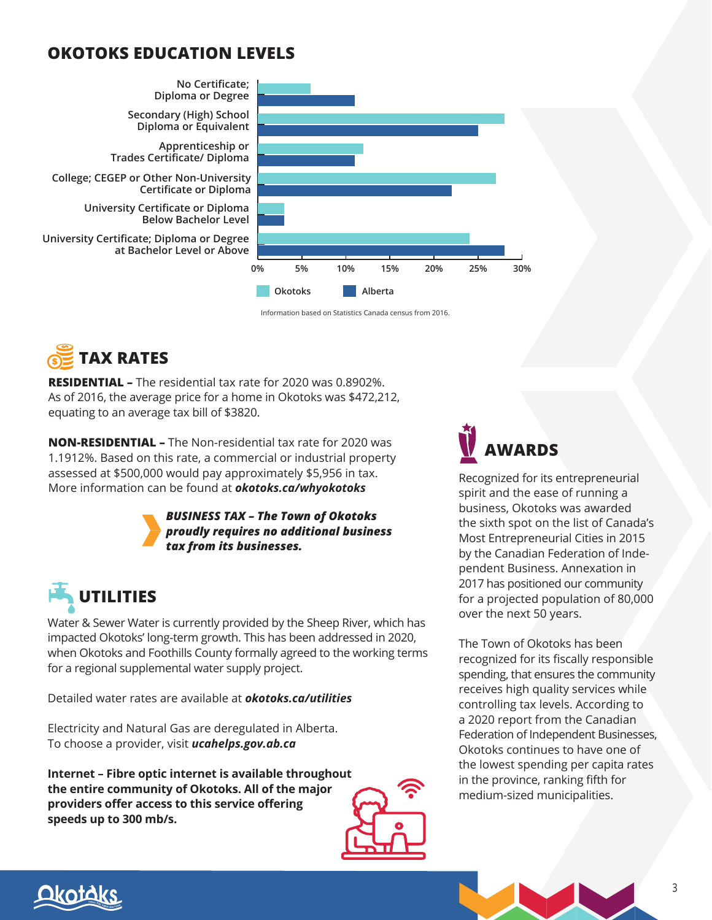### **OKOTOKS EDUCATION LEVELS**



Information based on Statistics Canada census from 2016.



**RESIDENTIAL –** The residential tax rate for 2020 was 0.8902%. As of 2016, the average price for a home in Okotoks was \$472,212, equating to an average tax bill of \$3820.

**NON-RESIDENTIAL –** The Non-residential tax rate for 2020 was 1.1912%. Based on this rate, a commercial or industrial property assessed at \$500,000 would pay approximately \$5,956 in tax. More information can be found at *okotoks.ca/whyokotoks*



*BUSINESS TAX – The Town of Okotoks proudly requires no additional business tax from its businesses.* 

# **UTILITIES**

Water & Sewer Water is currently provided by the Sheep River, which has impacted Okotoks' long-term growth. This has been addressed in 2020, when Okotoks and Foothills County formally agreed to the working terms for a regional supplemental water supply project.

Detailed water rates are available at *okotoks.ca/utilities*

Electricity and Natural Gas are deregulated in Alberta. To choose a provider, visit *ucahelps.gov.ab.ca*

**Internet – Fibre optic internet is available throughout the entire community of Okotoks. All of the major providers offer access to this service offering speeds up to 300 mb/s.**





Recognized for its entrepreneurial spirit and the ease of running a business, Okotoks was awarded the sixth spot on the list of Canada's Most Entrepreneurial Cities in 2015 by the Canadian Federation of Independent Business. Annexation in 2017 has positioned our community for a projected population of 80,000 over the next 50 years.

The Town of Okotoks has been recognized for its fiscally responsible spending, that ensures the community receives high quality services while controlling tax levels. According to a 2020 report from the Canadian Federation of Independent Businesses, Okotoks continues to have one of the lowest spending per capita rates in the province, ranking fifth for medium-sized municipalities.

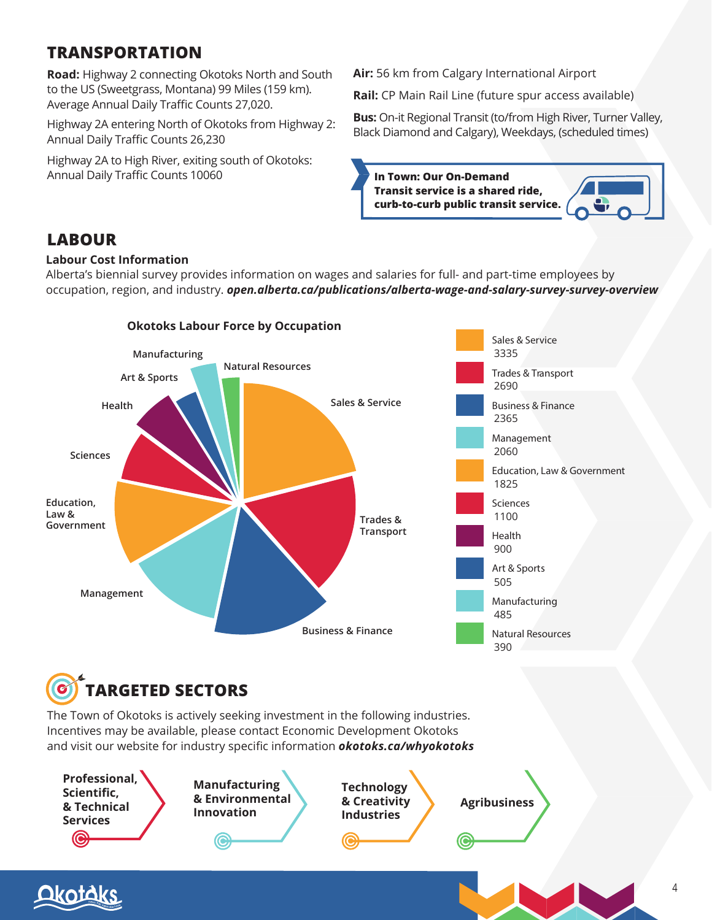# **TRANSPORTATION**

**Road:** Highway 2 connecting Okotoks North and South to the US (Sweetgrass, Montana) 99 Miles (159 km). Average Annual Daily Traffic Counts 27,020.

Highway 2A entering North of Okotoks from Highway 2: Annual Daily Traffic Counts 26,230

Highway 2A to High River, exiting south of Okotoks: Annual Daily Traffic Counts 10060

**Air:** 56 km from Calgary International Airport

**Rail:** CP Main Rail Line (future spur access available)

**Bus:** On-it Regional Transit (to/from High River, Turner Valley, Black Diamond and Calgary), Weekdays, (scheduled times)



### **LABOUR**

### **Labour Cost Information**

Alberta's biennial survey provides information on wages and salaries for full- and part-time employees by occupation, region, and industry. *open.alberta.ca/publications/alberta-wage-and-salary-survey-survey-overview*



**TARGETED SECTORS** 

The Town of Okotoks is actively seeking investment in the following industries. Incentives may be available, please contact Economic Development Okotoks and visit our website for industry specific information *okotoks.ca/whyokotoks*

**Professional, Scientific, & Technical Services**

**Manufacturing & Environmental Innovation**

**Technology & Creativity Industries**

**Agribusiness**